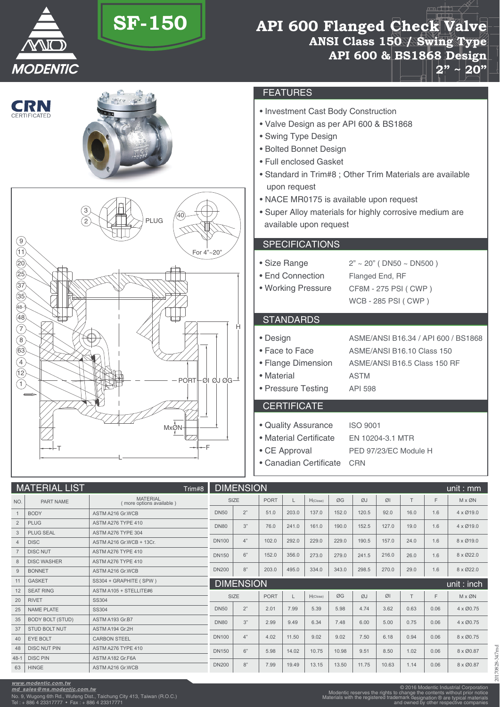

# **SF-150**

# **API 600 Flanged Check Valve ANSI Class 150 / Swing Type API 600 & BS1868 Design 2" ~ 20"**





## FEATURES

- Investment Cast Body Construction
- Valve Design as per API 600 & BS1868
- Swing Type Design
- Bolted Bonnet Design
- Full enclosed Gasket
- Standard in Trim#8 ; Other Trim Materials are available upon request
- NACE MR0175 is available upon request
- Super Alloy materials for highly corrosive medium are available upon request

## **SPECIFICATIONS**

• Size Range

• End Connection • Working Pressure  $2" \sim 20"$  (DN50  $\sim$  DN500 ) Flanged End, RF CF8M - 275 PSI ( CWP ) WCB - 285 PSI ( CWP )

# **STANDARDS**

• Design • Face to Face • Flange Dimension ASME/ANSI B16.34 / API 600 / BS1868 ASME/ANSI B16.10 Class 150 ASME/ANSI B16.5 Class 150 RF

ISO 9001

- Material
- Pressure Testing ASTM API 598

#### **CERTIFICATE**

- Quality Assurance
- Material Certificate
- CE Approval
- EN 10204-3.1 MTR PED 97/23/EC Module H
- Canadian Certificate CRN

| <b>MATERIAL LIST</b><br>Trim#8 |                         |                                             | <b>DIMENSION</b><br>unit : $mm$ |      |             |       |             |       |       |       |      |      |                          |
|--------------------------------|-------------------------|---------------------------------------------|---------------------------------|------|-------------|-------|-------------|-------|-------|-------|------|------|--------------------------|
| NO.                            | PART NAME               | <b>MATERIAL</b><br>(more options available) |                                 | SIZE | <b>PORT</b> | L     | $H$ (Close) | ØG    | ØJ    | ØI    | T    | F    | $M \times \varnothing N$ |
|                                | <b>BODY</b>             | ASTM A216 Gr. WCB                           | <b>DN50</b>                     | 2"   | 51.0        | 203.0 | 137.0       | 152.0 | 120.5 | 92.0  | 16.0 | 1.6  | $4 \times 19.0$          |
| $\overline{2}$                 | <b>PLUG</b>             | <b>ASTM A276 TYPE 410</b>                   | <b>DN80</b>                     | 3"   | 76.0        | 241.0 | 161.0       | 190.0 | 152.5 | 127.0 | 19.0 | 1.6  | $4 \times 19.0$          |
| 3                              | <b>PLUG SEAL</b>        | ASTM A276 TYPE 304                          |                                 |      |             |       |             |       |       |       |      |      |                          |
| $\overline{4}$                 | <b>DISC</b>             | ASTM A216 Gr.WCB + 13Cr.                    | <b>DN100</b>                    | 4"   | 102.0       | 292.0 | 229.0       | 229.0 | 190.5 | 157.0 | 24.0 | 1.6  | 8 x Ø19.0                |
|                                | <b>DISC NUT</b>         | ASTM A276 TYPE 410                          | <b>DN150</b>                    | 6"   | 152.0       | 356.0 | 273.0       | 279.0 | 241.5 | 216.0 | 26.0 | 1.6  | 8 x Ø22.0                |
| 8                              | <b>DISC WASHER</b>      | ASTM A276 TYPE 410                          |                                 |      |             |       |             |       |       |       |      |      |                          |
| 9                              | <b>BONNET</b>           | ASTM A216 Gr. WCB                           | <b>DN200</b>                    | 8"   | 203.0       | 495.0 | 334.0       | 343.0 | 298.5 | 270.0 | 29.0 | 1.6  | 8 x Ø22.0                |
|                                |                         |                                             | <b>DIMENSION</b>                |      |             |       |             |       |       |       |      |      |                          |
| 11                             | <b>GASKET</b>           | SS304 + GRAPHITE (SPW)                      |                                 |      |             |       |             |       |       |       |      |      |                          |
| 12                             | <b>SEAT RING</b>        | ASTM A105 + STELLITE#6                      |                                 |      |             |       |             |       |       |       |      |      | unit: inch               |
| 20                             | <b>RIVET</b>            | SS304                                       |                                 | SIZE | <b>PORT</b> | L     | $H$ (Close) | ØG    | ØJ    | ØI    | T    | F    | $M \times \varnothing N$ |
| 25                             | NAME PLATE              | <b>SS304</b>                                | <b>DN50</b>                     | 2"   | 2.01        | 7.99  | 5.39        | 5.98  | 4.74  | 3.62  | 0.63 | 0.06 | $4 \times 00.75$         |
| 35                             | <b>BODY BOLT (STUD)</b> | ASTM A193 Gr.B7                             | <b>DN80</b>                     | 3"   | 2.99        |       |             | 7.48  | 6.00  | 5.00  | 0.75 | 0.06 | $4 \times 00.75$         |
| 37                             | <b>STUD BOLT NUT</b>    | ASTM A194 Gr.2H                             |                                 |      |             | 9.49  | 6.34        |       |       |       |      |      |                          |
| 40                             | <b>EYE BOLT</b>         | <b>CARBON STEEL</b>                         | <b>DN100</b>                    | 4"   | 4.02        | 11.50 | 9.02        | 9.02  | 7.50  | 6.18  | 0.94 | 0.06 | 8 x Ø0.75                |
| 48                             | <b>DISC NUT PIN</b>     | ASTM A276 TYPE 410                          | <b>DN150</b>                    | 6"   | 5.98        | 14.02 | 10.75       | 10.98 | 9.51  | 8.50  | 1.02 | 0.06 | 8 x Ø0.87                |
| $48 - 1$                       | <b>DISC PIN</b>         | ASTM A182 Gr.F6A                            | <b>DN200</b>                    | 8"   | 7.99        | 19.49 | 13.15       | 13.50 | 11.75 | 10.63 | 1.14 | 0.06 | 8 x Ø0.87                |

*www.modentic.com.tw*

*md\_sales@ms.modentic.com.tw* No. 9, Wugong 6th Rd., Wufeng Dist., Taichung City 413, Taiwan (R.O.C.) Tel : + 886 4 23317777 • Fax : + 886 4 23317771

20170828-347md